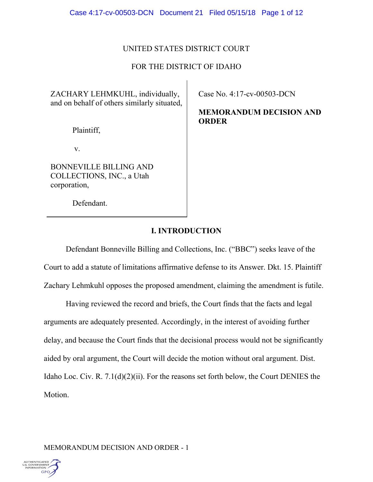# UNITED STATES DISTRICT COURT

# FOR THE DISTRICT OF IDAHO

ZACHARY LEHMKUHL, individually, and on behalf of others similarly situated,

Plaintiff,

v.

BONNEVILLE BILLING AND COLLECTIONS, INC., a Utah corporation,

Defendant.

Case No. 4:17-cv-00503-DCN

**MEMORANDUM DECISION AND ORDER** 

# **I. INTRODUCTION**

Defendant Bonneville Billing and Collections, Inc. ("BBC") seeks leave of the Court to add a statute of limitations affirmative defense to its Answer. Dkt. 15. Plaintiff Zachary Lehmkuhl opposes the proposed amendment, claiming the amendment is futile.

Having reviewed the record and briefs, the Court finds that the facts and legal arguments are adequately presented. Accordingly, in the interest of avoiding further delay, and because the Court finds that the decisional process would not be significantly aided by oral argument, the Court will decide the motion without oral argument. Dist. Idaho Loc. Civ. R. 7.1(d)(2)(ii). For the reasons set forth below, the Court DENIES the Motion.

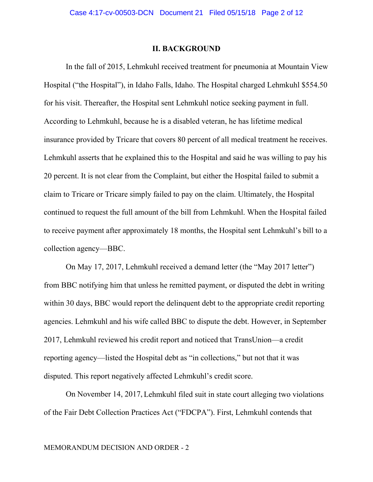### **II. BACKGROUND**

In the fall of 2015, Lehmkuhl received treatment for pneumonia at Mountain View Hospital ("the Hospital"), in Idaho Falls, Idaho. The Hospital charged Lehmkuhl \$554.50 for his visit. Thereafter, the Hospital sent Lehmkuhl notice seeking payment in full. According to Lehmkuhl, because he is a disabled veteran, he has lifetime medical insurance provided by Tricare that covers 80 percent of all medical treatment he receives. Lehmkuhl asserts that he explained this to the Hospital and said he was willing to pay his 20 percent. It is not clear from the Complaint, but either the Hospital failed to submit a claim to Tricare or Tricare simply failed to pay on the claim. Ultimately, the Hospital continued to request the full amount of the bill from Lehmkuhl. When the Hospital failed to receive payment after approximately 18 months, the Hospital sent Lehmkuhl's bill to a collection agency—BBC.

On May 17, 2017, Lehmkuhl received a demand letter (the "May 2017 letter") from BBC notifying him that unless he remitted payment, or disputed the debt in writing within 30 days, BBC would report the delinquent debt to the appropriate credit reporting agencies. Lehmkuhl and his wife called BBC to dispute the debt. However, in September 2017, Lehmkuhl reviewed his credit report and noticed that TransUnion—a credit reporting agency—listed the Hospital debt as "in collections," but not that it was disputed. This report negatively affected Lehmkuhl's credit score.

On November 14, 2017, Lehmkuhl filed suit in state court alleging two violations of the Fair Debt Collection Practices Act ("FDCPA"). First, Lehmkuhl contends that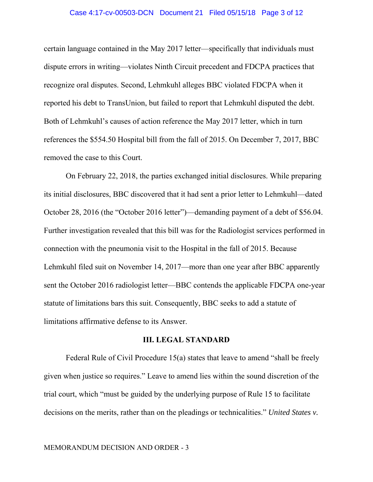#### Case 4:17-cv-00503-DCN Document 21 Filed 05/15/18 Page 3 of 12

certain language contained in the May 2017 letter—specifically that individuals must dispute errors in writing—violates Ninth Circuit precedent and FDCPA practices that recognize oral disputes. Second, Lehmkuhl alleges BBC violated FDCPA when it reported his debt to TransUnion, but failed to report that Lehmkuhl disputed the debt. Both of Lehmkuhl's causes of action reference the May 2017 letter, which in turn references the \$554.50 Hospital bill from the fall of 2015. On December 7, 2017, BBC removed the case to this Court.

On February 22, 2018, the parties exchanged initial disclosures. While preparing its initial disclosures, BBC discovered that it had sent a prior letter to Lehmkuhl—dated October 28, 2016 (the "October 2016 letter")—demanding payment of a debt of \$56.04. Further investigation revealed that this bill was for the Radiologist services performed in connection with the pneumonia visit to the Hospital in the fall of 2015. Because Lehmkuhl filed suit on November 14, 2017—more than one year after BBC apparently sent the October 2016 radiologist letter—BBC contends the applicable FDCPA one-year statute of limitations bars this suit. Consequently, BBC seeks to add a statute of limitations affirmative defense to its Answer.

### **III. LEGAL STANDARD**

Federal Rule of Civil Procedure 15(a) states that leave to amend "shall be freely given when justice so requires." Leave to amend lies within the sound discretion of the trial court, which "must be guided by the underlying purpose of Rule 15 to facilitate decisions on the merits, rather than on the pleadings or technicalities." *United States v.*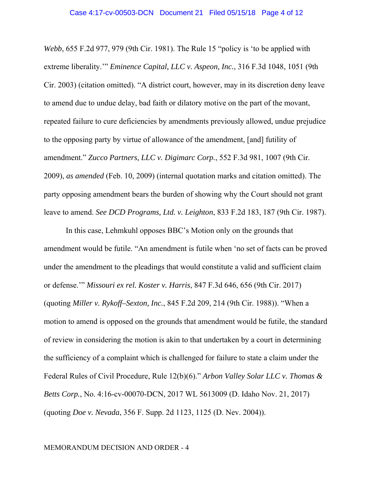*Webb*, 655 F.2d 977, 979 (9th Cir. 1981). The Rule 15 "policy is 'to be applied with extreme liberality.'" *Eminence Capital, LLC v. Aspeon, Inc.*, 316 F.3d 1048, 1051 (9th Cir. 2003) (citation omitted). "A district court, however, may in its discretion deny leave to amend due to undue delay, bad faith or dilatory motive on the part of the movant, repeated failure to cure deficiencies by amendments previously allowed, undue prejudice to the opposing party by virtue of allowance of the amendment, [and] futility of amendment." *Zucco Partners, LLC v. Digimarc Corp.*, 552 F.3d 981, 1007 (9th Cir. 2009), *as amended* (Feb. 10, 2009) (internal quotation marks and citation omitted). The party opposing amendment bears the burden of showing why the Court should not grant leave to amend. *See DCD Programs, Ltd. v. Leighton*, 833 F.2d 183, 187 (9th Cir. 1987).

In this case, Lehmkuhl opposes BBC's Motion only on the grounds that amendment would be futile. "An amendment is futile when 'no set of facts can be proved under the amendment to the pleadings that would constitute a valid and sufficient claim or defense.'" *Missouri ex rel. Koster v. Harris*, 847 F.3d 646, 656 (9th Cir. 2017) (quoting *Miller v. Rykoff–Sexton, Inc.*, 845 F.2d 209, 214 (9th Cir. 1988)). "When a motion to amend is opposed on the grounds that amendment would be futile, the standard of review in considering the motion is akin to that undertaken by a court in determining the sufficiency of a complaint which is challenged for failure to state a claim under the Federal Rules of Civil Procedure, Rule 12(b)(6)." *Arbon Valley Solar LLC v. Thomas & Betts Corp.*, No. 4:16-cv-00070-DCN, 2017 WL 5613009 (D. Idaho Nov. 21, 2017) (quoting *Doe v. Nevada*, 356 F. Supp. 2d 1123, 1125 (D. Nev. 2004)).

#### MEMORANDUM DECISION AND ORDER - 4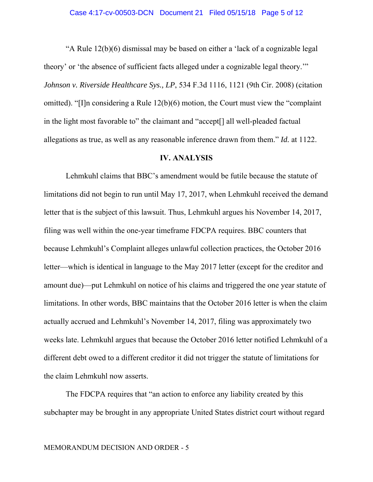"A Rule 12(b)(6) dismissal may be based on either a 'lack of a cognizable legal theory' or 'the absence of sufficient facts alleged under a cognizable legal theory.'" *Johnson v. Riverside Healthcare Sys., LP*, 534 F.3d 1116, 1121 (9th Cir. 2008) (citation omitted). "[I]n considering a Rule 12(b)(6) motion, the Court must view the "complaint in the light most favorable to" the claimant and "accept[] all well-pleaded factual allegations as true, as well as any reasonable inference drawn from them." *Id.* at 1122.

#### **IV. ANALYSIS**

 Lehmkuhl claims that BBC's amendment would be futile because the statute of limitations did not begin to run until May 17, 2017, when Lehmkuhl received the demand letter that is the subject of this lawsuit. Thus, Lehmkuhl argues his November 14, 2017, filing was well within the one-year timeframe FDCPA requires. BBC counters that because Lehmkuhl's Complaint alleges unlawful collection practices, the October 2016 letter—which is identical in language to the May 2017 letter (except for the creditor and amount due)—put Lehmkuhl on notice of his claims and triggered the one year statute of limitations. In other words, BBC maintains that the October 2016 letter is when the claim actually accrued and Lehmkuhl's November 14, 2017, filing was approximately two weeks late. Lehmkuhl argues that because the October 2016 letter notified Lehmkuhl of a different debt owed to a different creditor it did not trigger the statute of limitations for the claim Lehmkuhl now asserts.

The FDCPA requires that "an action to enforce any liability created by this subchapter may be brought in any appropriate United States district court without regard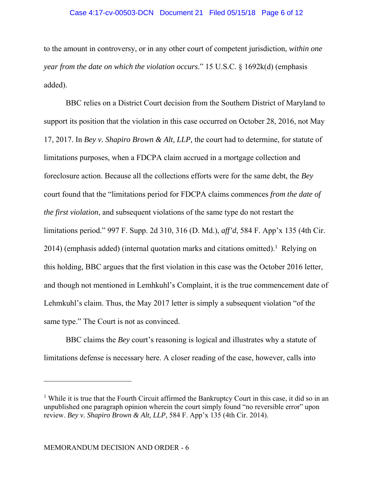### Case 4:17-cv-00503-DCN Document 21 Filed 05/15/18 Page 6 of 12

to the amount in controversy, or in any other court of competent jurisdiction, *within one year from the date on which the violation occurs*." 15 U.S.C. § 1692k(d) (emphasis added).

BBC relies on a District Court decision from the Southern District of Maryland to support its position that the violation in this case occurred on October 28, 2016, not May 17, 2017. In *Bey v. Shapiro Brown & Alt, LLP,* the court had to determine, for statute of limitations purposes, when a FDCPA claim accrued in a mortgage collection and foreclosure action. Because all the collections efforts were for the same debt, the *Bey*  court found that the "limitations period for FDCPA claims commences *from the date of the first violation*, and subsequent violations of the same type do not restart the limitations period." 997 F. Supp. 2d 310, 316 (D. Md.), *aff'd*, 584 F. App'x 135 (4th Cir.  $2014$ ) (emphasis added) (internal quotation marks and citations omitted).<sup>1</sup> Relying on this holding, BBC argues that the first violation in this case was the October 2016 letter, and though not mentioned in Lemhkuhl's Complaint, it is the true commencement date of Lehmkuhl's claim. Thus, the May 2017 letter is simply a subsequent violation "of the same type." The Court is not as convinced.

BBC claims the *Bey* court's reasoning is logical and illustrates why a statute of limitations defense is necessary here. A closer reading of the case, however, calls into

<sup>&</sup>lt;sup>1</sup> While it is true that the Fourth Circuit affirmed the Bankruptcy Court in this case, it did so in an unpublished one paragraph opinion wherein the court simply found "no reversible error" upon review. *Bey v. Shapiro Brown & Alt, LLP,* 584 F. App'x 135 (4th Cir. 2014).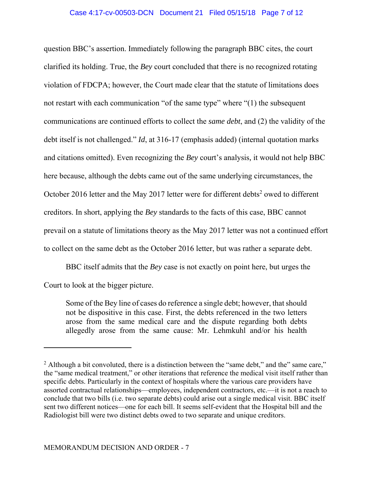## Case 4:17-cv-00503-DCN Document 21 Filed 05/15/18 Page 7 of 12

question BBC's assertion. Immediately following the paragraph BBC cites, the court clarified its holding. True, the *Bey* court concluded that there is no recognized rotating violation of FDCPA; however, the Court made clear that the statute of limitations does not restart with each communication "of the same type" where "(1) the subsequent communications are continued efforts to collect the *same debt*, and (2) the validity of the debt itself is not challenged." *Id*, at 316-17 (emphasis added) (internal quotation marks and citations omitted). Even recognizing the *Bey* court's analysis*,* it would not help BBC here because, although the debts came out of the same underlying circumstances, the October 2016 letter and the May 2017 letter were for different debts<sup>2</sup> owed to different creditors. In short, applying the *Bey* standards to the facts of this case, BBC cannot prevail on a statute of limitations theory as the May 2017 letter was not a continued effort to collect on the same debt as the October 2016 letter, but was rather a separate debt.

BBC itself admits that the *Bey* case is not exactly on point here, but urges the Court to look at the bigger picture.

Some of the Bey line of cases do reference a single debt; however, that should not be dispositive in this case. First, the debts referenced in the two letters arose from the same medical care and the dispute regarding both debts allegedly arose from the same cause: Mr. Lehmkuhl and/or his health

<sup>&</sup>lt;sup>2</sup> Although a bit convoluted, there is a distinction between the "same debt," and the" same care," the "same medical treatment," or other iterations that reference the medical visit itself rather than specific debts. Particularly in the context of hospitals where the various care providers have assorted contractual relationships—employees, independent contractors, etc.—it is not a reach to conclude that two bills (i.e. two separate debts) could arise out a single medical visit. BBC itself sent two different notices—one for each bill. It seems self-evident that the Hospital bill and the Radiologist bill were two distinct debts owed to two separate and unique creditors.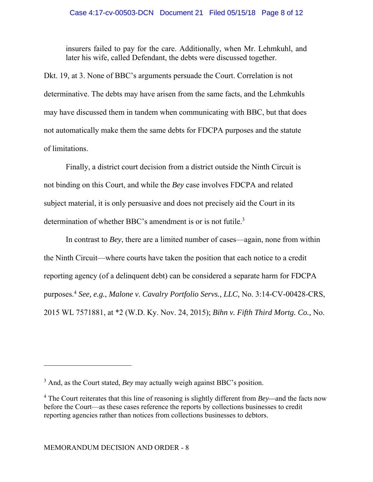insurers failed to pay for the care. Additionally, when Mr. Lehmkuhl, and later his wife, called Defendant, the debts were discussed together.

Dkt. 19, at 3. None of BBC's arguments persuade the Court. Correlation is not determinative. The debts may have arisen from the same facts, and the Lehmkuhls may have discussed them in tandem when communicating with BBC, but that does not automatically make them the same debts for FDCPA purposes and the statute of limitations.

Finally, a district court decision from a district outside the Ninth Circuit is not binding on this Court, and while the *Bey* case involves FDCPA and related subject material, it is only persuasive and does not precisely aid the Court in its determination of whether BBC's amendment is or is not futile.<sup>3</sup>

In contrast to *Bey*, there are a limited number of cases—again, none from within the Ninth Circuit—where courts have taken the position that each notice to a credit reporting agency (of a delinquent debt) can be considered a separate harm for FDCPA purposes.4 *See, e.g.*, *Malone v. Cavalry Portfolio Servs., LLC,* No. 3:14-CV-00428-CRS, 2015 WL 7571881, at \*2 (W.D. Ky. Nov. 24, 2015); *Bihn v. Fifth Third Mortg. Co.,* No.

<sup>&</sup>lt;sup>3</sup> And, as the Court stated, *Bey* may actually weigh against BBC's position.

<sup>4</sup> The Court reiterates that this line of reasoning is slightly different from *Bey—*and the facts now before the Court—as these cases reference the reports by collections businesses to credit reporting agencies rather than notices from collections businesses to debtors.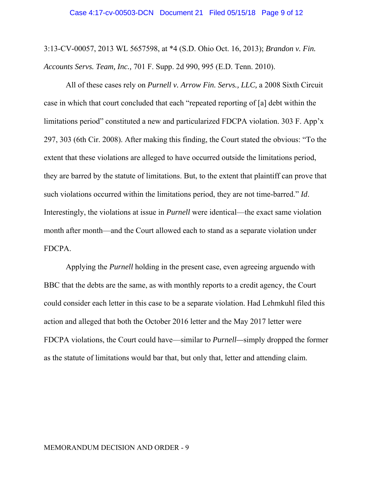3:13-CV-00057, 2013 WL 5657598, at \*4 (S.D. Ohio Oct. 16, 2013); *Brandon v. Fin. Accounts Servs. Team, Inc.,* 701 F. Supp. 2d 990, 995 (E.D. Tenn. 2010).

All of these cases rely on *Purnell v. Arrow Fin. Servs., LLC,* a 2008 Sixth Circuit case in which that court concluded that each "repeated reporting of [a] debt within the limitations period" constituted a new and particularized FDCPA violation. 303 F. App'x 297, 303 (6th Cir. 2008). After making this finding, the Court stated the obvious: "To the extent that these violations are alleged to have occurred outside the limitations period, they are barred by the statute of limitations. But, to the extent that plaintiff can prove that such violations occurred within the limitations period, they are not time-barred." *Id*. Interestingly, the violations at issue in *Purnell* were identical—the exact same violation month after month—and the Court allowed each to stand as a separate violation under FDCPA.

Applying the *Purnell* holding in the present case, even agreeing arguendo with BBC that the debts are the same, as with monthly reports to a credit agency, the Court could consider each letter in this case to be a separate violation. Had Lehmkuhl filed this action and alleged that both the October 2016 letter and the May 2017 letter were FDCPA violations, the Court could have—similar to *Purnell—*simply dropped the former as the statute of limitations would bar that, but only that, letter and attending claim.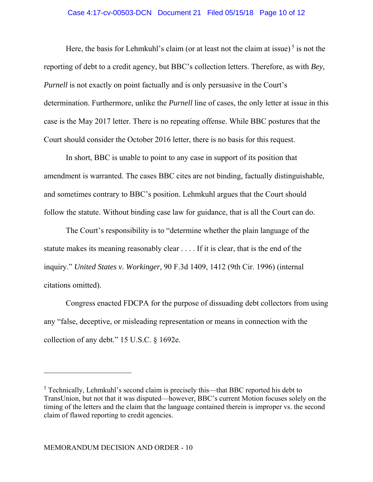### Case 4:17-cv-00503-DCN Document 21 Filed 05/15/18 Page 10 of 12

Here, the basis for Lehmkuhl's claim (or at least not the claim at issue)<sup>5</sup> is not the reporting of debt to a credit agency, but BBC's collection letters. Therefore, as with *Bey, Purnell* is not exactly on point factually and is only persuasive in the Court's determination. Furthermore, unlike the *Purnell* line of cases, the only letter at issue in this case is the May 2017 letter. There is no repeating offense. While BBC postures that the Court should consider the October 2016 letter, there is no basis for this request.

In short, BBC is unable to point to any case in support of its position that amendment is warranted. The cases BBC cites are not binding, factually distinguishable, and sometimes contrary to BBC's position. Lehmkuhl argues that the Court should follow the statute. Without binding case law for guidance, that is all the Court can do.

The Court's responsibility is to "determine whether the plain language of the statute makes its meaning reasonably clear . . . . If it is clear, that is the end of the inquiry." *United States v. Workinger,* 90 F.3d 1409, 1412 (9th Cir. 1996) (internal citations omitted).

Congress enacted FDCPA for the purpose of dissuading debt collectors from using any "false, deceptive, or misleading representation or means in connection with the collection of any debt." 15 U.S.C. § 1692e.

 $<sup>5</sup>$  Technically, Lehmkuhl's second claim is precisely this—that BBC reported his debt to</sup> TransUnion, but not that it was disputed—however, BBC's current Motion focuses solely on the timing of the letters and the claim that the language contained therein is improper vs. the second claim of flawed reporting to credit agencies.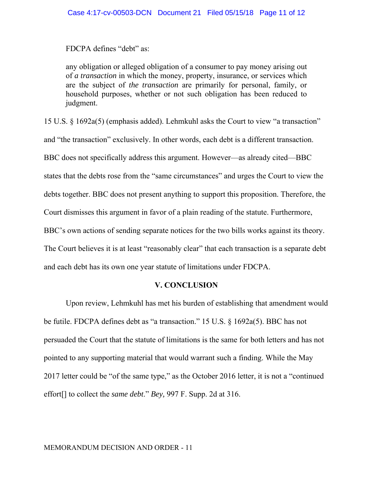FDCPA defines "debt" as:

any obligation or alleged obligation of a consumer to pay money arising out of *a transaction* in which the money, property, insurance, or services which are the subject of *the transaction* are primarily for personal, family, or household purposes, whether or not such obligation has been reduced to judgment.

15 U.S. § 1692a(5) (emphasis added). Lehmkuhl asks the Court to view "a transaction" and "the transaction" exclusively. In other words, each debt is a different transaction. BBC does not specifically address this argument. However—as already cited—BBC states that the debts rose from the "same circumstances" and urges the Court to view the debts together. BBC does not present anything to support this proposition. Therefore, the Court dismisses this argument in favor of a plain reading of the statute. Furthermore, BBC's own actions of sending separate notices for the two bills works against its theory. The Court believes it is at least "reasonably clear" that each transaction is a separate debt and each debt has its own one year statute of limitations under FDCPA.

## **V. CONCLUSION**

Upon review, Lehmkuhl has met his burden of establishing that amendment would be futile. FDCPA defines debt as "a transaction." 15 U.S. § 1692a(5). BBC has not persuaded the Court that the statute of limitations is the same for both letters and has not pointed to any supporting material that would warrant such a finding. While the May 2017 letter could be "of the same type," as the October 2016 letter, it is not a "continued effort[] to collect the *same debt*." *Bey,* 997 F. Supp. 2d at 316.

#### MEMORANDUM DECISION AND ORDER - 11